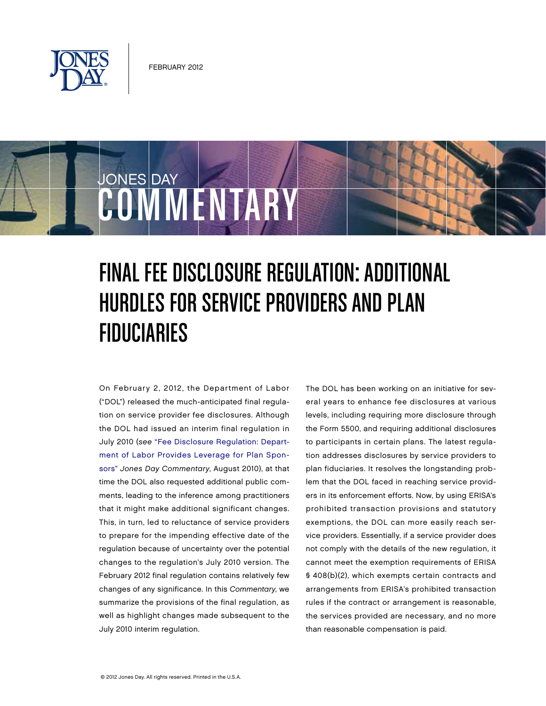

JONES DAY

# COMMENTARY

# Final Fee Disclosure Regulation: Additional Hurdles for Service Providers and Plan **FIDUCIARIES**

On February 2, 2012, the Department of Labor ("DOL") released the much-anticipated final regulation on service provider fee disclosures. Although the DOL had issued an interim final regulation in July 2010 (see ["Fee Disclosure Regulation: Depart](http://www.jonesday.com/fee_disclosure_regulation/)[ment of Labor Provides Leverage for Plan Spon](http://www.jonesday.com/fee_disclosure_regulation/)[sors"](http://www.jonesday.com/fee_disclosure_regulation/) Jones Day Commentary, August 2010), at that time the DOL also requested additional public comments, leading to the inference among practitioners that it might make additional significant changes. This, in turn, led to reluctance of service providers to prepare for the impending effective date of the regulation because of uncertainty over the potential changes to the regulation's July 2010 version. The February 2012 final regulation contains relatively few changes of any significance. In this Commentary, we summarize the provisions of the final regulation, as well as highlight changes made subsequent to the July 2010 interim regulation.

The DOL has been working on an initiative for several years to enhance fee disclosures at various levels, including requiring more disclosure through the Form 5500, and requiring additional disclosures to participants in certain plans. The latest regulation addresses disclosures by service providers to plan fiduciaries. It resolves the longstanding problem that the DOL faced in reaching service providers in its enforcement efforts. Now, by using ERISA's prohibited transaction provisions and statutory exemptions, the DOL can more easily reach service providers. Essentially, if a service provider does not comply with the details of the new regulation, it cannot meet the exemption requirements of ERISA § 408(b)(2), which exempts certain contracts and arrangements from ERISA's prohibited transaction rules if the contract or arrangement is reasonable, the services provided are necessary, and no more than reasonable compensation is paid.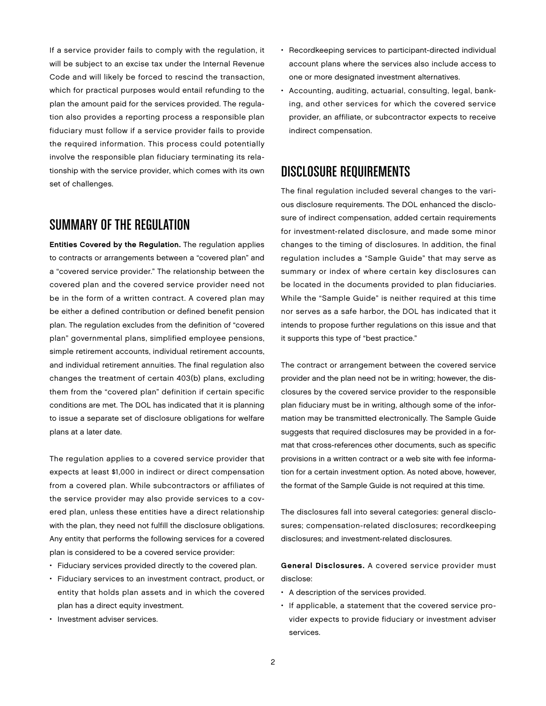If a service provider fails to comply with the regulation, it will be subject to an excise tax under the Internal Revenue Code and will likely be forced to rescind the transaction, which for practical purposes would entail refunding to the plan the amount paid for the services provided. The regulation also provides a reporting process a responsible plan fiduciary must follow if a service provider fails to provide the required information. This process could potentially involve the responsible plan fiduciary terminating its relationship with the service provider, which comes with its own set of challenges.

### Summary of the Regulation

Entities Covered by the Regulation. The regulation applies to contracts or arrangements between a "covered plan" and a "covered service provider." The relationship between the covered plan and the covered service provider need not be in the form of a written contract. A covered plan may be either a defined contribution or defined benefit pension plan. The regulation excludes from the definition of "covered plan" governmental plans, simplified employee pensions, simple retirement accounts, individual retirement accounts, and individual retirement annuities. The final regulation also changes the treatment of certain 403(b) plans, excluding them from the "covered plan" definition if certain specific conditions are met. The DOL has indicated that it is planning to issue a separate set of disclosure obligations for welfare plans at a later date.

The regulation applies to a covered service provider that expects at least \$1,000 in indirect or direct compensation from a covered plan. While subcontractors or affiliates of the service provider may also provide services to a covered plan, unless these entities have a direct relationship with the plan, they need not fulfill the disclosure obligations. Any entity that performs the following services for a covered plan is considered to be a covered service provider:

- Fiduciary services provided directly to the covered plan.
- Fiduciary services to an investment contract, product, or entity that holds plan assets and in which the covered plan has a direct equity investment.
- Investment adviser services.
- Recordkeeping services to participant-directed individual account plans where the services also include access to one or more designated investment alternatives.
- Accounting, auditing, actuarial, consulting, legal, banking, and other services for which the covered service provider, an affiliate, or subcontractor expects to receive indirect compensation.

### Disclosure Requirements

The final regulation included several changes to the various disclosure requirements. The DOL enhanced the disclosure of indirect compensation, added certain requirements for investment-related disclosure, and made some minor changes to the timing of disclosures. In addition, the final regulation includes a "Sample Guide" that may serve as summary or index of where certain key disclosures can be located in the documents provided to plan fiduciaries. While the "Sample Guide" is neither required at this time nor serves as a safe harbor, the DOL has indicated that it intends to propose further regulations on this issue and that it supports this type of "best practice."

The contract or arrangement between the covered service provider and the plan need not be in writing; however, the disclosures by the covered service provider to the responsible plan fiduciary must be in writing, although some of the information may be transmitted electronically. The Sample Guide suggests that required disclosures may be provided in a format that cross-references other documents, such as specific provisions in a written contract or a web site with fee information for a certain investment option. As noted above, however, the format of the Sample Guide is not required at this time.

The disclosures fall into several categories: general disclosures; compensation-related disclosures; recordkeeping disclosures; and investment-related disclosures.

General Disclosures. A covered service provider must disclose:

- A description of the services provided.
- If applicable, a statement that the covered service provider expects to provide fiduciary or investment adviser services.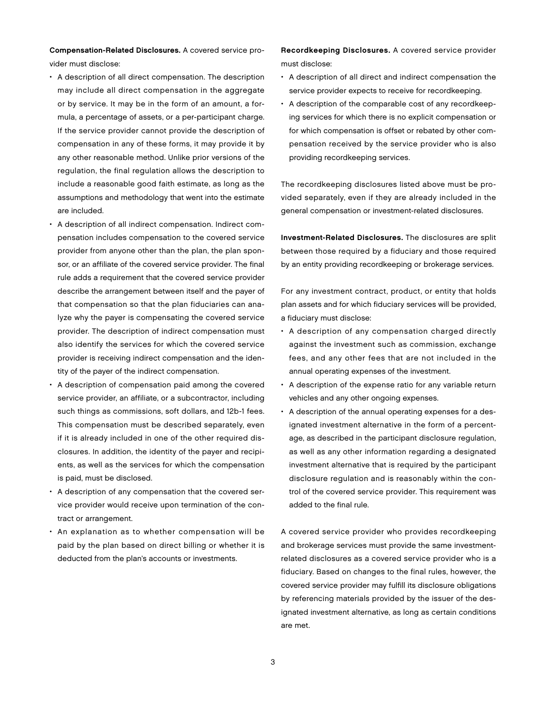Compensation-Related Disclosures. A covered service provider must disclose:

- A description of all direct compensation. The description may include all direct compensation in the aggregate or by service. It may be in the form of an amount, a formula, a percentage of assets, or a per-participant charge. If the service provider cannot provide the description of compensation in any of these forms, it may provide it by any other reasonable method. Unlike prior versions of the regulation, the final regulation allows the description to include a reasonable good faith estimate, as long as the assumptions and methodology that went into the estimate are included.
- A description of all indirect compensation. Indirect compensation includes compensation to the covered service provider from anyone other than the plan, the plan sponsor, or an affiliate of the covered service provider. The final rule adds a requirement that the covered service provider describe the arrangement between itself and the payer of that compensation so that the plan fiduciaries can analyze why the payer is compensating the covered service provider. The description of indirect compensation must also identify the services for which the covered service provider is receiving indirect compensation and the identity of the payer of the indirect compensation.
- A description of compensation paid among the covered service provider, an affiliate, or a subcontractor, including such things as commissions, soft dollars, and 12b-1 fees. This compensation must be described separately, even if it is already included in one of the other required disclosures. In addition, the identity of the payer and recipients, as well as the services for which the compensation is paid, must be disclosed.
- A description of any compensation that the covered service provider would receive upon termination of the contract or arrangement.
- An explanation as to whether compensation will be paid by the plan based on direct billing or whether it is deducted from the plan's accounts or investments.

Recordkeeping Disclosures. A covered service provider must disclose:

- A description of all direct and indirect compensation the service provider expects to receive for recordkeeping.
- A description of the comparable cost of any recordkeeping services for which there is no explicit compensation or for which compensation is offset or rebated by other compensation received by the service provider who is also providing recordkeeping services.

The recordkeeping disclosures listed above must be provided separately, even if they are already included in the general compensation or investment-related disclosures.

Investment-Related Disclosures. The disclosures are split between those required by a fiduciary and those required by an entity providing recordkeeping or brokerage services.

For any investment contract, product, or entity that holds plan assets and for which fiduciary services will be provided, a fiduciary must disclose:

- A description of any compensation charged directly against the investment such as commission, exchange fees, and any other fees that are not included in the annual operating expenses of the investment.
- A description of the expense ratio for any variable return vehicles and any other ongoing expenses.
- A description of the annual operating expenses for a designated investment alternative in the form of a percentage, as described in the participant disclosure regulation, as well as any other information regarding a designated investment alternative that is required by the participant disclosure regulation and is reasonably within the control of the covered service provider. This requirement was added to the final rule.

A covered service provider who provides recordkeeping and brokerage services must provide the same investmentrelated disclosures as a covered service provider who is a fiduciary. Based on changes to the final rules, however, the covered service provider may fulfill its disclosure obligations by referencing materials provided by the issuer of the designated investment alternative, as long as certain conditions are met.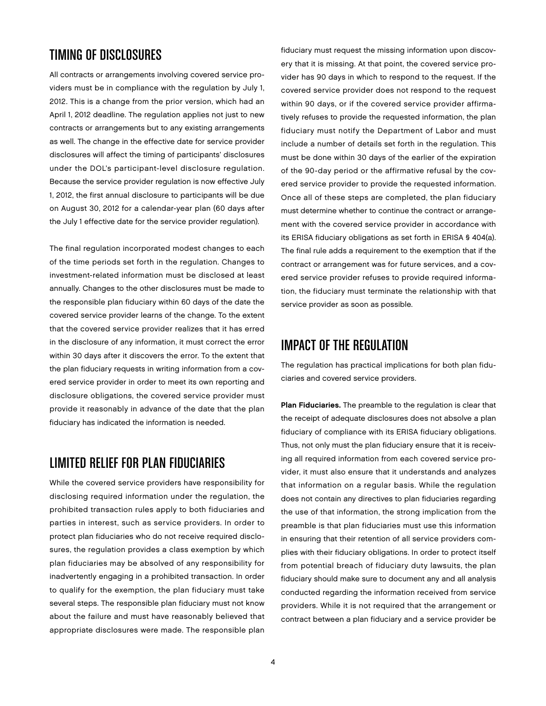# Timing of Disclosures

All contracts or arrangements involving covered service providers must be in compliance with the regulation by July 1, 2012. This is a change from the prior version, which had an April 1, 2012 deadline. The regulation applies not just to new contracts or arrangements but to any existing arrangements as well. The change in the effective date for service provider disclosures will affect the timing of participants' disclosures under the DOL's participant-level disclosure regulation. Because the service provider regulation is now effective July 1, 2012, the first annual disclosure to participants will be due on August 30, 2012 for a calendar-year plan (60 days after the July 1 effective date for the service provider regulation).

The final regulation incorporated modest changes to each of the time periods set forth in the regulation. Changes to investment-related information must be disclosed at least annually. Changes to the other disclosures must be made to the responsible plan fiduciary within 60 days of the date the covered service provider learns of the change. To the extent that the covered service provider realizes that it has erred in the disclosure of any information, it must correct the error within 30 days after it discovers the error. To the extent that the plan fiduciary requests in writing information from a covered service provider in order to meet its own reporting and disclosure obligations, the covered service provider must provide it reasonably in advance of the date that the plan fiduciary has indicated the information is needed.

# Limited Relief for Plan Fiduciaries

While the covered service providers have responsibility for disclosing required information under the regulation, the prohibited transaction rules apply to both fiduciaries and parties in interest, such as service providers. In order to protect plan fiduciaries who do not receive required disclosures, the regulation provides a class exemption by which plan fiduciaries may be absolved of any responsibility for inadvertently engaging in a prohibited transaction. In order to qualify for the exemption, the plan fiduciary must take several steps. The responsible plan fiduciary must not know about the failure and must have reasonably believed that appropriate disclosures were made. The responsible plan

fiduciary must request the missing information upon discovery that it is missing. At that point, the covered service provider has 90 days in which to respond to the request. If the covered service provider does not respond to the request within 90 days, or if the covered service provider affirmatively refuses to provide the requested information, the plan fiduciary must notify the Department of Labor and must include a number of details set forth in the regulation. This must be done within 30 days of the earlier of the expiration of the 90-day period or the affirmative refusal by the covered service provider to provide the requested information. Once all of these steps are completed, the plan fiduciary must determine whether to continue the contract or arrangement with the covered service provider in accordance with its ERISA fiduciary obligations as set forth in ERISA § 404(a). The final rule adds a requirement to the exemption that if the contract or arrangement was for future services, and a covered service provider refuses to provide required information, the fiduciary must terminate the relationship with that service provider as soon as possible.

# Impact of the Regulation

The regulation has practical implications for both plan fiduciaries and covered service providers.

Plan Fiduciaries. The preamble to the regulation is clear that the receipt of adequate disclosures does not absolve a plan fiduciary of compliance with its ERISA fiduciary obligations. Thus, not only must the plan fiduciary ensure that it is receiving all required information from each covered service provider, it must also ensure that it understands and analyzes that information on a regular basis. While the regulation does not contain any directives to plan fiduciaries regarding the use of that information, the strong implication from the preamble is that plan fiduciaries must use this information in ensuring that their retention of all service providers complies with their fiduciary obligations. In order to protect itself from potential breach of fiduciary duty lawsuits, the plan fiduciary should make sure to document any and all analysis conducted regarding the information received from service providers. While it is not required that the arrangement or contract between a plan fiduciary and a service provider be